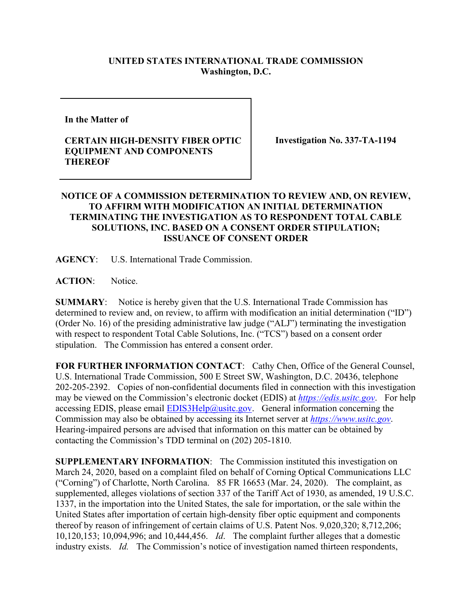## **UNITED STATES INTERNATIONAL TRADE COMMISSION Washington, D.C.**

**In the Matter of** 

## **CERTAIN HIGH-DENSITY FIBER OPTIC EQUIPMENT AND COMPONENTS THEREOF**

**Investigation No. 337-TA-1194**

## **NOTICE OF A COMMISSION DETERMINATION TO REVIEW AND, ON REVIEW, TO AFFIRM WITH MODIFICATION AN INITIAL DETERMINATION TERMINATING THE INVESTIGATION AS TO RESPONDENT TOTAL CABLE SOLUTIONS, INC. BASED ON A CONSENT ORDER STIPULATION; ISSUANCE OF CONSENT ORDER**

**AGENCY**: U.S. International Trade Commission.

**ACTION**: Notice.

**SUMMARY**: Notice is hereby given that the U.S. International Trade Commission has determined to review and, on review, to affirm with modification an initial determination ("ID") (Order No. 16) of the presiding administrative law judge ("ALJ") terminating the investigation with respect to respondent Total Cable Solutions, Inc. ("TCS") based on a consent order stipulation. The Commission has entered a consent order.

**FOR FURTHER INFORMATION CONTACT**: Cathy Chen, Office of the General Counsel, U.S. International Trade Commission, 500 E Street SW, Washington, D.C. 20436, telephone 202-205-2392. Copies of non-confidential documents filed in connection with this investigation may be viewed on the Commission's electronic docket (EDIS) at *[https://edis.usitc.gov](https://edis.usitc.gov/)*. For help accessing EDIS, please email  $EDIS3Help@ustc.gov$ . General information concerning the Commission may also be obtained by accessing its Internet server at *[https://www.usitc.gov](https://www.usitc.gov/)*. Hearing-impaired persons are advised that information on this matter can be obtained by contacting the Commission's TDD terminal on (202) 205-1810.

**SUPPLEMENTARY INFORMATION**: The Commission instituted this investigation on March 24, 2020, based on a complaint filed on behalf of Corning Optical Communications LLC ("Corning") of Charlotte, North Carolina. 85 FR 16653 (Mar. 24, 2020). The complaint, as supplemented, alleges violations of section 337 of the Tariff Act of 1930, as amended, 19 U.S.C. 1337, in the importation into the United States, the sale for importation, or the sale within the United States after importation of certain high-density fiber optic equipment and components thereof by reason of infringement of certain claims of U.S. Patent Nos. 9,020,320; 8,712,206; 10,120,153; 10,094,996; and 10,444,456. *Id*. The complaint further alleges that a domestic industry exists. *Id.* The Commission's notice of investigation named thirteen respondents,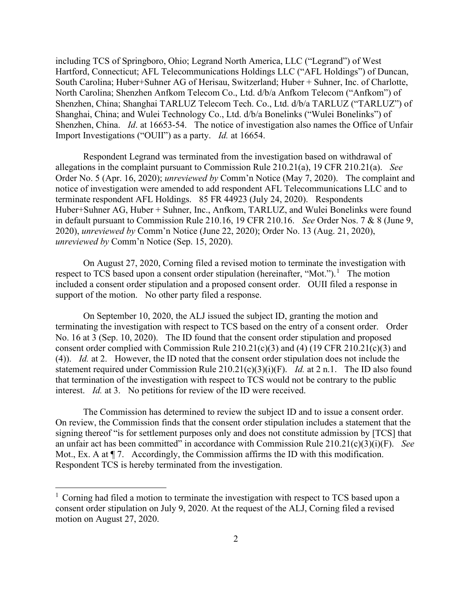including TCS of Springboro, Ohio; Legrand North America, LLC ("Legrand") of West Hartford, Connecticut; AFL Telecommunications Holdings LLC ("AFL Holdings") of Duncan, South Carolina; Huber+Suhner AG of Herisau, Switzerland; Huber + Suhner, Inc. of Charlotte, North Carolina; Shenzhen Anfkom Telecom Co., Ltd. d/b/a Anfkom Telecom ("Anfkom") of Shenzhen, China; Shanghai TARLUZ Telecom Tech. Co., Ltd. d/b/a TARLUZ ("TARLUZ") of Shanghai, China; and Wulei Technology Co., Ltd. d/b/a Bonelinks ("Wulei Bonelinks") of Shenzhen, China. *Id*. at 16653-54. The notice of investigation also names the Office of Unfair Import Investigations ("OUII") as a party. *Id.* at 16654.

Respondent Legrand was terminated from the investigation based on withdrawal of allegations in the complaint pursuant to Commission Rule 210.21(a), 19 CFR 210.21(a). *See*  Order No. 5 (Apr. 16, 2020); *unreviewed by* Comm'n Notice (May 7, 2020). The complaint and notice of investigation were amended to add respondent AFL Telecommunications LLC and to terminate respondent AFL Holdings. 85 FR 44923 (July 24, 2020). Respondents Huber+Suhner AG, Huber + Suhner, Inc., Anfkom, TARLUZ, and Wulei Bonelinks were found in default pursuant to Commission Rule 210.16, 19 CFR 210.16. *See* Order Nos. 7 & 8 (June 9, 2020), *unreviewed by* Comm'n Notice (June 22, 2020); Order No. 13 (Aug. 21, 2020), *unreviewed by* Comm'n Notice (Sep. 15, 2020).

On August 27, 2020, Corning filed a revised motion to terminate the investigation with respect to TCS based upon a consent order stipulation (hereinafter, "Mot.").<sup>[1](#page-1-0)</sup> The motion included a consent order stipulation and a proposed consent order. OUII filed a response in support of the motion. No other party filed a response.

On September 10, 2020, the ALJ issued the subject ID, granting the motion and terminating the investigation with respect to TCS based on the entry of a consent order. Order No. 16 at 3 (Sep. 10, 2020). The ID found that the consent order stipulation and proposed consent order complied with Commission Rule 210.21(c)(3) and (4) (19 CFR 210.21(c)(3) and (4)). *Id.* at 2. However, the ID noted that the consent order stipulation does not include the statement required under Commission Rule 210.21(c)(3)(i)(F). *Id.* at 2 n.1. The ID also found that termination of the investigation with respect to TCS would not be contrary to the public interest. *Id.* at 3. No petitions for review of the ID were received.

The Commission has determined to review the subject ID and to issue a consent order. On review, the Commission finds that the consent order stipulation includes a statement that the signing thereof "is for settlement purposes only and does not constitute admission by [TCS] that an unfair act has been committed" in accordance with Commission Rule 210.21(c)(3)(i)(F). *See*  Mot., Ex. A at  $\P$  7. Accordingly, the Commission affirms the ID with this modification. Respondent TCS is hereby terminated from the investigation.

<span id="page-1-0"></span> $1$  Corning had filed a motion to terminate the investigation with respect to TCS based upon a consent order stipulation on July 9, 2020. At the request of the ALJ, Corning filed a revised motion on August 27, 2020.